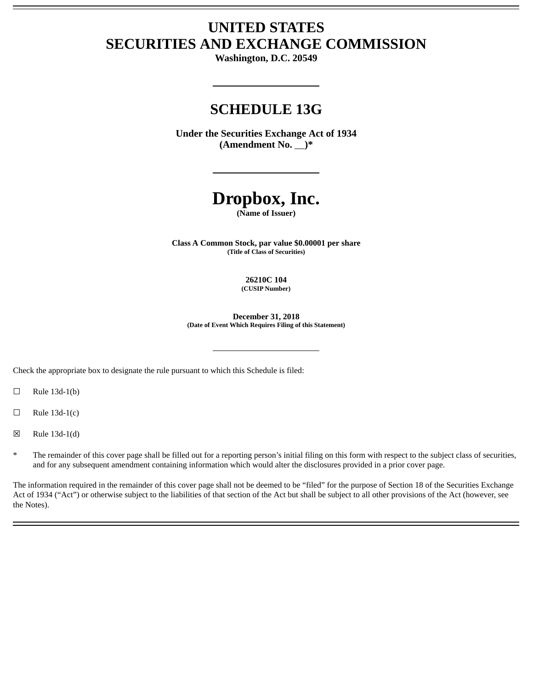# **UNITED STATES SECURITIES AND EXCHANGE COMMISSION**

**Washington, D.C. 20549**

## **SCHEDULE 13G**

**Under the Securities Exchange Act of 1934 (Amendment No. )\***

# **Dropbox, Inc.**

**(Name of Issuer)**

**Class A Common Stock, par value \$0.00001 per share (Title of Class of Securities)**

> **26210C 104 (CUSIP Number)**

**December 31, 2018 (Date of Event Which Requires Filing of this Statement)**

Check the appropriate box to designate the rule pursuant to which this Schedule is filed:

 $\Box$  Rule 13d-1(b)

 $\Box$  Rule 13d-1(c)

☒ Rule 13d-1(d)

The remainder of this cover page shall be filled out for a reporting person's initial filing on this form with respect to the subject class of securities, and for any subsequent amendment containing information which would alter the disclosures provided in a prior cover page.

The information required in the remainder of this cover page shall not be deemed to be "filed" for the purpose of Section 18 of the Securities Exchange Act of 1934 ("Act") or otherwise subject to the liabilities of that section of the Act but shall be subject to all other provisions of the Act (however, see the Notes).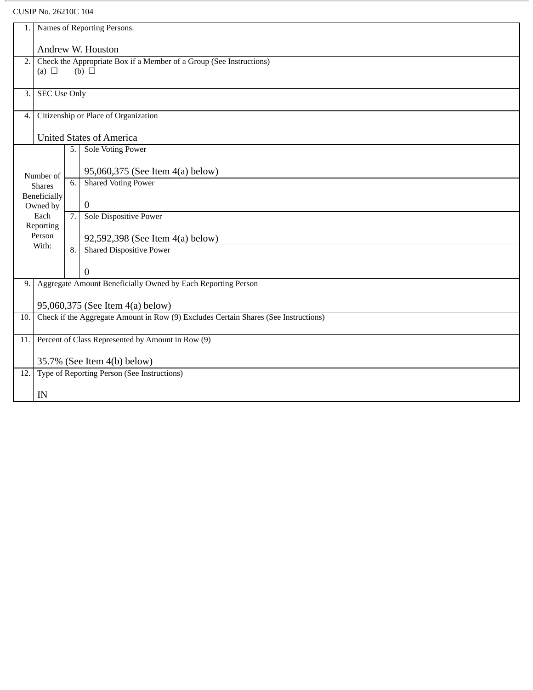## CUSIP No. 26210C 104

| Names of Reporting Persons.<br>1.                                                          |                                                              |                                      |                                                                                   |  |
|--------------------------------------------------------------------------------------------|--------------------------------------------------------------|--------------------------------------|-----------------------------------------------------------------------------------|--|
| Andrew W. Houston                                                                          |                                                              |                                      |                                                                                   |  |
| 2.                                                                                         | (a) $\Box$                                                   |                                      | Check the Appropriate Box if a Member of a Group (See Instructions)<br>(b) $\Box$ |  |
|                                                                                            |                                                              |                                      |                                                                                   |  |
| 3.                                                                                         | <b>SEC Use Only</b>                                          |                                      |                                                                                   |  |
| 4.                                                                                         |                                                              | Citizenship or Place of Organization |                                                                                   |  |
|                                                                                            |                                                              |                                      | <b>United States of America</b>                                                   |  |
|                                                                                            |                                                              | 5.                                   | <b>Sole Voting Power</b>                                                          |  |
|                                                                                            | Number of                                                    |                                      | 95,060,375 (See Item 4(a) below)                                                  |  |
|                                                                                            | <b>Shares</b>                                                | $\overline{6}$ .                     | <b>Shared Voting Power</b>                                                        |  |
|                                                                                            | <b>Beneficially</b><br>Owned by                              |                                      | $\boldsymbol{0}$                                                                  |  |
|                                                                                            | Each<br>Reporting                                            | 7.                                   | <b>Sole Dispositive Power</b>                                                     |  |
|                                                                                            | Person                                                       |                                      | 92,592,398 (See Item 4(a) below)                                                  |  |
|                                                                                            | With:                                                        | 8.                                   | <b>Shared Dispositive Power</b>                                                   |  |
|                                                                                            |                                                              |                                      | $\boldsymbol{0}$                                                                  |  |
| 9.                                                                                         | Aggregate Amount Beneficially Owned by Each Reporting Person |                                      |                                                                                   |  |
|                                                                                            | 95,060,375 (See Item 4(a) below)                             |                                      |                                                                                   |  |
| Check if the Aggregate Amount in Row (9) Excludes Certain Shares (See Instructions)<br>10. |                                                              |                                      |                                                                                   |  |
| 11.                                                                                        | Percent of Class Represented by Amount in Row (9)            |                                      |                                                                                   |  |
| 35.7% (See Item 4(b) below)                                                                |                                                              |                                      |                                                                                   |  |
| 12.                                                                                        | Type of Reporting Person (See Instructions)                  |                                      |                                                                                   |  |
|                                                                                            | IN                                                           |                                      |                                                                                   |  |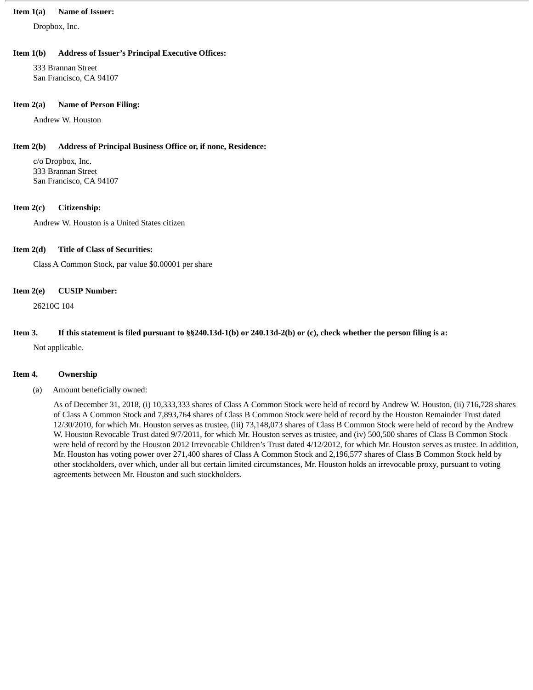#### **Item 1(a) Name of Issuer:**

Dropbox, Inc.

#### **Item 1(b) Address of Issuer's Principal Executive Offices:**

333 Brannan Street San Francisco, CA 94107

#### **Item 2(a) Name of Person Filing:**

Andrew W. Houston

#### **Item 2(b) Address of Principal Business Office or, if none, Residence:**

c/o Dropbox, Inc. 333 Brannan Street San Francisco, CA 94107

#### **Item 2(c) Citizenship:**

Andrew W. Houston is a United States citizen

#### **Item 2(d) Title of Class of Securities:**

Class A Common Stock, par value \$0.00001 per share

#### **Item 2(e) CUSIP Number:**

26210C 104

#### Item 3. If this statement is filed pursuant to §§240.13d-1(b) or 240.13d-2(b) or (c), check whether the person filing is a:

Not applicable.

#### **Item 4. Ownership**

(a) Amount beneficially owned:

As of December 31, 2018, (i) 10,333,333 shares of Class A Common Stock were held of record by Andrew W. Houston, (ii) 716,728 shares of Class A Common Stock and 7,893,764 shares of Class B Common Stock were held of record by the Houston Remainder Trust dated 12/30/2010, for which Mr. Houston serves as trustee, (iii) 73,148,073 shares of Class B Common Stock were held of record by the Andrew W. Houston Revocable Trust dated 9/7/2011, for which Mr. Houston serves as trustee, and (iv) 500,500 shares of Class B Common Stock were held of record by the Houston 2012 Irrevocable Children's Trust dated 4/12/2012, for which Mr. Houston serves as trustee. In addition, Mr. Houston has voting power over 271,400 shares of Class A Common Stock and 2,196,577 shares of Class B Common Stock held by other stockholders, over which, under all but certain limited circumstances, Mr. Houston holds an irrevocable proxy, pursuant to voting agreements between Mr. Houston and such stockholders.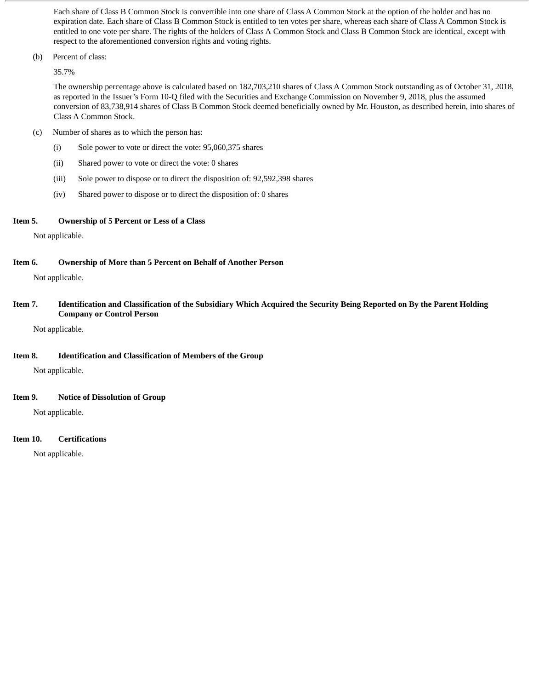Each share of Class B Common Stock is convertible into one share of Class A Common Stock at the option of the holder and has no expiration date. Each share of Class B Common Stock is entitled to ten votes per share, whereas each share of Class A Common Stock is entitled to one vote per share. The rights of the holders of Class A Common Stock and Class B Common Stock are identical, except with respect to the aforementioned conversion rights and voting rights.

(b) Percent of class:

35.7%

The ownership percentage above is calculated based on 182,703,210 shares of Class A Common Stock outstanding as of October 31, 2018, as reported in the Issuer's Form 10-Q filed with the Securities and Exchange Commission on November 9, 2018, plus the assumed conversion of 83,738,914 shares of Class B Common Stock deemed beneficially owned by Mr. Houston, as described herein, into shares of Class A Common Stock.

- (c) Number of shares as to which the person has:
	- (i) Sole power to vote or direct the vote: 95,060,375 shares
	- (ii) Shared power to vote or direct the vote: 0 shares
	- (iii) Sole power to dispose or to direct the disposition of: 92,592,398 shares
	- (iv) Shared power to dispose or to direct the disposition of: 0 shares

#### **Item 5. Ownership of 5 Percent or Less of a Class**

Not applicable.

**Item 6. Ownership of More than 5 Percent on Behalf of Another Person**

Not applicable.

Item 7. Identification and Classification of the Subsidiary Which Acquired the Security Being Reported on By the Parent Holding **Company or Control Person**

Not applicable.

#### **Item 8. Identification and Classification of Members of the Group**

Not applicable.

#### **Item 9. Notice of Dissolution of Group**

Not applicable.

#### **Item 10. Certifications**

Not applicable.